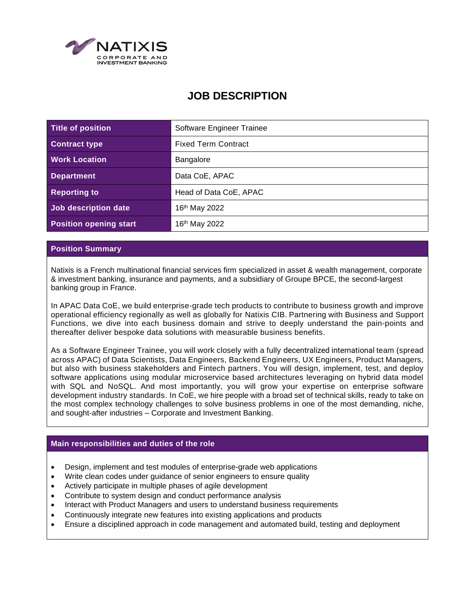

# **JOB DESCRIPTION**

| <b>Title of position</b>      | Software Engineer Trainee  |
|-------------------------------|----------------------------|
| <b>Contract type</b>          | <b>Fixed Term Contract</b> |
| <b>Work Location</b>          | Bangalore                  |
| <b>Department</b>             | Data CoE, APAC             |
| <b>Reporting to</b>           | Head of Data CoE, APAC     |
| Job description date          | 16th May 2022              |
| <b>Position opening start</b> | 16th May 2022              |

### **Position Summary**

Natixis is a French multinational financial services firm specialized in asset & wealth management, corporate & investment banking, insurance and payments, and a subsidiary of Groupe BPCE, the second-largest banking group in France.

In APAC Data CoE, we build enterprise-grade tech products to contribute to business growth and improve operational efficiency regionally as well as globally for Natixis CIB. Partnering with Business and Support Functions, we dive into each business domain and strive to deeply understand the pain-points and thereafter deliver bespoke data solutions with measurable business benefits.

As a Software Engineer Trainee, you will work closely with a fully decentralized international team (spread across APAC) of Data Scientists, Data Engineers, Backend Engineers, UX Engineers, Product Managers, but also with business stakeholders and Fintech partners. You will design, implement, test, and deploy software applications using modular microservice based architectures leveraging on hybrid data model with SQL and NoSQL. And most importantly, you will grow your expertise on enterprise software development industry standards. In CoE, we hire people with a broad set of technical skills, ready to take on the most complex technology challenges to solve business problems in one of the most demanding, niche, and sought-after industries – Corporate and Investment Banking.

# **Main responsibilities and duties of the role**

- Design, implement and test modules of enterprise-grade web applications
- Write clean codes under guidance of senior engineers to ensure quality
- Actively participate in multiple phases of agile development
- Contribute to system design and conduct performance analysis
- Interact with Product Managers and users to understand business requirements
- Continuously integrate new features into existing applications and products
- Ensure a disciplined approach in code management and automated build, testing and deployment